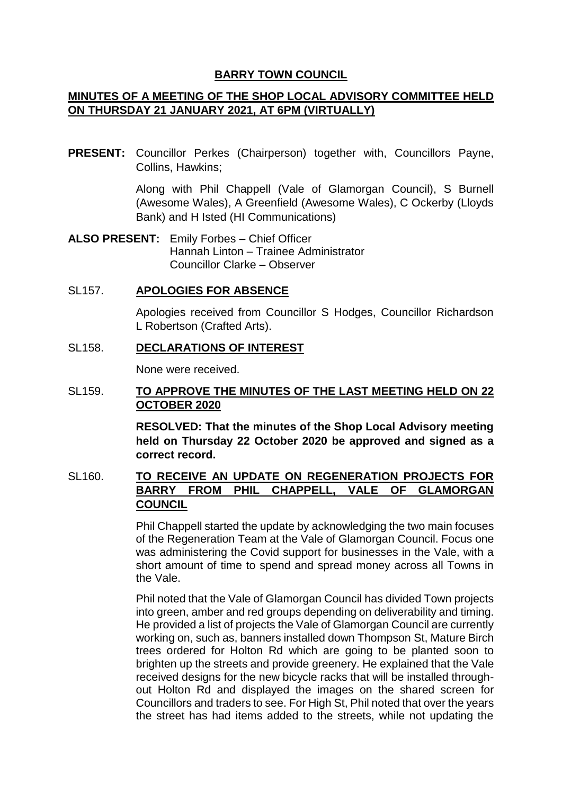#### **BARRY TOWN COUNCIL**

## **MINUTES OF A MEETING OF THE SHOP LOCAL ADVISORY COMMITTEE HELD ON THURSDAY 21 JANUARY 2021, AT 6PM (VIRTUALLY)**

**PRESENT:** Councillor Perkes (Chairperson) together with, Councillors Payne, Collins, Hawkins;

> Along with Phil Chappell (Vale of Glamorgan Council), S Burnell (Awesome Wales), A Greenfield (Awesome Wales), C Ockerby (Lloyds Bank) and H Isted (HI Communications)

**ALSO PRESENT:** Emily Forbes – Chief Officer Hannah Linton – Trainee Administrator Councillor Clarke – Observer

#### SL157. **APOLOGIES FOR ABSENCE**

Apologies received from Councillor S Hodges, Councillor Richardson L Robertson (Crafted Arts).

#### SL158. **DECLARATIONS OF INTEREST**

None were received.

### SL159. **TO APPROVE THE MINUTES OF THE LAST MEETING HELD ON 22 OCTOBER 2020**

**RESOLVED: That the minutes of the Shop Local Advisory meeting held on Thursday 22 October 2020 be approved and signed as a correct record.** 

# SL160. **TO RECEIVE AN UPDATE ON REGENERATION PROJECTS FOR BARRY FROM PHIL CHAPPELL, VALE OF GLAMORGAN COUNCIL**

Phil Chappell started the update by acknowledging the two main focuses of the Regeneration Team at the Vale of Glamorgan Council. Focus one was administering the Covid support for businesses in the Vale, with a short amount of time to spend and spread money across all Towns in the Vale.

Phil noted that the Vale of Glamorgan Council has divided Town projects into green, amber and red groups depending on deliverability and timing. He provided a list of projects the Vale of Glamorgan Council are currently working on, such as, banners installed down Thompson St, Mature Birch trees ordered for Holton Rd which are going to be planted soon to brighten up the streets and provide greenery. He explained that the Vale received designs for the new bicycle racks that will be installed throughout Holton Rd and displayed the images on the shared screen for Councillors and traders to see. For High St, Phil noted that over the years the street has had items added to the streets, while not updating the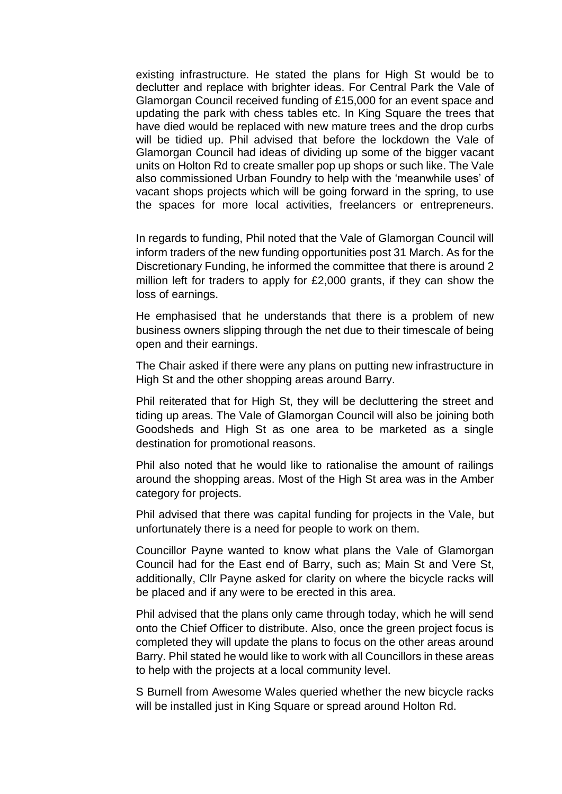existing infrastructure. He stated the plans for High St would be to declutter and replace with brighter ideas. For Central Park the Vale of Glamorgan Council received funding of £15,000 for an event space and updating the park with chess tables etc. In King Square the trees that have died would be replaced with new mature trees and the drop curbs will be tidied up. Phil advised that before the lockdown the Vale of Glamorgan Council had ideas of dividing up some of the bigger vacant units on Holton Rd to create smaller pop up shops or such like. The Vale also commissioned Urban Foundry to help with the 'meanwhile uses' of vacant shops projects which will be going forward in the spring, to use the spaces for more local activities, freelancers or entrepreneurs.

In regards to funding, Phil noted that the Vale of Glamorgan Council will inform traders of the new funding opportunities post 31 March. As for the Discretionary Funding, he informed the committee that there is around 2 million left for traders to apply for £2,000 grants, if they can show the loss of earnings.

He emphasised that he understands that there is a problem of new business owners slipping through the net due to their timescale of being open and their earnings.

The Chair asked if there were any plans on putting new infrastructure in High St and the other shopping areas around Barry.

Phil reiterated that for High St, they will be decluttering the street and tiding up areas. The Vale of Glamorgan Council will also be joining both Goodsheds and High St as one area to be marketed as a single destination for promotional reasons.

Phil also noted that he would like to rationalise the amount of railings around the shopping areas. Most of the High St area was in the Amber category for projects.

Phil advised that there was capital funding for projects in the Vale, but unfortunately there is a need for people to work on them.

Councillor Payne wanted to know what plans the Vale of Glamorgan Council had for the East end of Barry, such as; Main St and Vere St, additionally, Cllr Payne asked for clarity on where the bicycle racks will be placed and if any were to be erected in this area.

Phil advised that the plans only came through today, which he will send onto the Chief Officer to distribute. Also, once the green project focus is completed they will update the plans to focus on the other areas around Barry. Phil stated he would like to work with all Councillors in these areas to help with the projects at a local community level.

S Burnell from Awesome Wales queried whether the new bicycle racks will be installed just in King Square or spread around Holton Rd.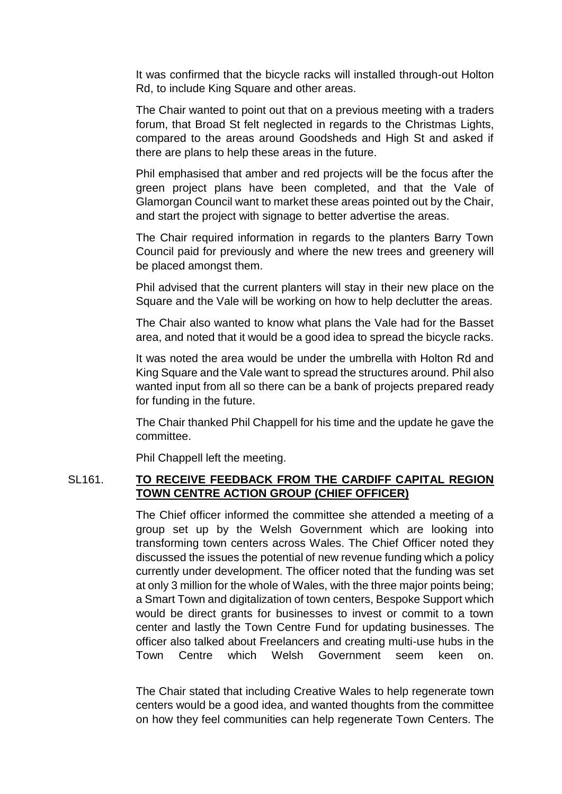It was confirmed that the bicycle racks will installed through-out Holton Rd, to include King Square and other areas.

The Chair wanted to point out that on a previous meeting with a traders forum, that Broad St felt neglected in regards to the Christmas Lights, compared to the areas around Goodsheds and High St and asked if there are plans to help these areas in the future.

Phil emphasised that amber and red projects will be the focus after the green project plans have been completed, and that the Vale of Glamorgan Council want to market these areas pointed out by the Chair, and start the project with signage to better advertise the areas.

The Chair required information in regards to the planters Barry Town Council paid for previously and where the new trees and greenery will be placed amongst them.

Phil advised that the current planters will stay in their new place on the Square and the Vale will be working on how to help declutter the areas.

The Chair also wanted to know what plans the Vale had for the Basset area, and noted that it would be a good idea to spread the bicycle racks.

It was noted the area would be under the umbrella with Holton Rd and King Square and the Vale want to spread the structures around. Phil also wanted input from all so there can be a bank of projects prepared ready for funding in the future.

The Chair thanked Phil Chappell for his time and the update he gave the committee.

Phil Chappell left the meeting.

#### SL161. **TO RECEIVE FEEDBACK FROM THE CARDIFF CAPITAL REGION TOWN CENTRE ACTION GROUP (CHIEF OFFICER)**

The Chief officer informed the committee she attended a meeting of a group set up by the Welsh Government which are looking into transforming town centers across Wales. The Chief Officer noted they discussed the issues the potential of new revenue funding which a policy currently under development. The officer noted that the funding was set at only 3 million for the whole of Wales, with the three major points being; a Smart Town and digitalization of town centers, Bespoke Support which would be direct grants for businesses to invest or commit to a town center and lastly the Town Centre Fund for updating businesses. The officer also talked about Freelancers and creating multi-use hubs in the Town Centre which Welsh Government seem keen on.

The Chair stated that including Creative Wales to help regenerate town centers would be a good idea, and wanted thoughts from the committee on how they feel communities can help regenerate Town Centers. The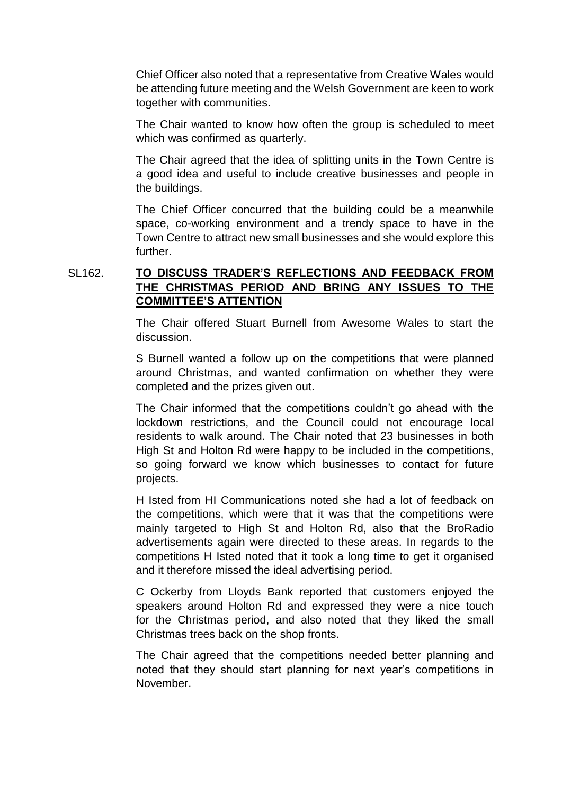Chief Officer also noted that a representative from Creative Wales would be attending future meeting and the Welsh Government are keen to work together with communities.

The Chair wanted to know how often the group is scheduled to meet which was confirmed as quarterly.

The Chair agreed that the idea of splitting units in the Town Centre is a good idea and useful to include creative businesses and people in the buildings.

The Chief Officer concurred that the building could be a meanwhile space, co-working environment and a trendy space to have in the Town Centre to attract new small businesses and she would explore this further.

# SL162. **TO DISCUSS TRADER'S REFLECTIONS AND FEEDBACK FROM THE CHRISTMAS PERIOD AND BRING ANY ISSUES TO THE COMMITTEE'S ATTENTION**

The Chair offered Stuart Burnell from Awesome Wales to start the discussion.

S Burnell wanted a follow up on the competitions that were planned around Christmas, and wanted confirmation on whether they were completed and the prizes given out.

The Chair informed that the competitions couldn't go ahead with the lockdown restrictions, and the Council could not encourage local residents to walk around. The Chair noted that 23 businesses in both High St and Holton Rd were happy to be included in the competitions, so going forward we know which businesses to contact for future projects.

H Isted from HI Communications noted she had a lot of feedback on the competitions, which were that it was that the competitions were mainly targeted to High St and Holton Rd, also that the BroRadio advertisements again were directed to these areas. In regards to the competitions H Isted noted that it took a long time to get it organised and it therefore missed the ideal advertising period.

C Ockerby from Lloyds Bank reported that customers enjoyed the speakers around Holton Rd and expressed they were a nice touch for the Christmas period, and also noted that they liked the small Christmas trees back on the shop fronts.

The Chair agreed that the competitions needed better planning and noted that they should start planning for next year's competitions in November.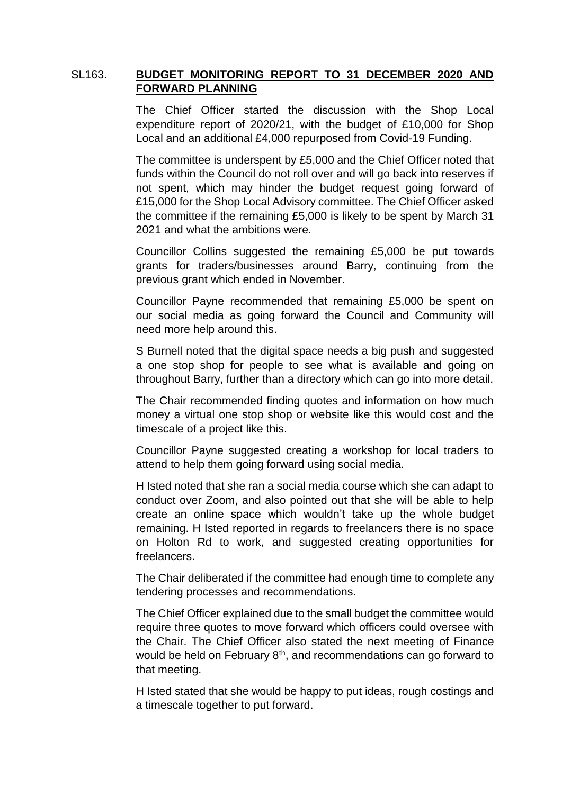### SL163. **BUDGET MONITORING REPORT TO 31 DECEMBER 2020 AND FORWARD PLANNING**

The Chief Officer started the discussion with the Shop Local expenditure report of 2020/21, with the budget of £10,000 for Shop Local and an additional £4,000 repurposed from Covid-19 Funding.

The committee is underspent by £5,000 and the Chief Officer noted that funds within the Council do not roll over and will go back into reserves if not spent, which may hinder the budget request going forward of £15,000 for the Shop Local Advisory committee. The Chief Officer asked the committee if the remaining £5,000 is likely to be spent by March 31 2021 and what the ambitions were.

Councillor Collins suggested the remaining £5,000 be put towards grants for traders/businesses around Barry, continuing from the previous grant which ended in November.

Councillor Payne recommended that remaining £5,000 be spent on our social media as going forward the Council and Community will need more help around this.

S Burnell noted that the digital space needs a big push and suggested a one stop shop for people to see what is available and going on throughout Barry, further than a directory which can go into more detail.

The Chair recommended finding quotes and information on how much money a virtual one stop shop or website like this would cost and the timescale of a project like this.

Councillor Payne suggested creating a workshop for local traders to attend to help them going forward using social media.

H Isted noted that she ran a social media course which she can adapt to conduct over Zoom, and also pointed out that she will be able to help create an online space which wouldn't take up the whole budget remaining. H Isted reported in regards to freelancers there is no space on Holton Rd to work, and suggested creating opportunities for freelancers.

The Chair deliberated if the committee had enough time to complete any tendering processes and recommendations.

The Chief Officer explained due to the small budget the committee would require three quotes to move forward which officers could oversee with the Chair. The Chief Officer also stated the next meeting of Finance would be held on February  $8<sup>th</sup>$ , and recommendations can go forward to that meeting.

H Isted stated that she would be happy to put ideas, rough costings and a timescale together to put forward.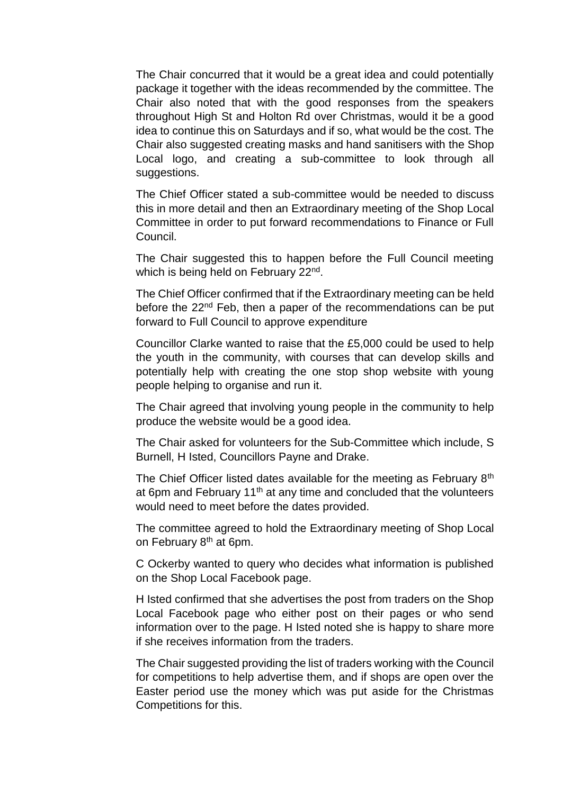The Chair concurred that it would be a great idea and could potentially package it together with the ideas recommended by the committee. The Chair also noted that with the good responses from the speakers throughout High St and Holton Rd over Christmas, would it be a good idea to continue this on Saturdays and if so, what would be the cost. The Chair also suggested creating masks and hand sanitisers with the Shop Local logo, and creating a sub-committee to look through all suggestions.

The Chief Officer stated a sub-committee would be needed to discuss this in more detail and then an Extraordinary meeting of the Shop Local Committee in order to put forward recommendations to Finance or Full Council.

The Chair suggested this to happen before the Full Council meeting which is being held on February 22<sup>nd</sup>.

The Chief Officer confirmed that if the Extraordinary meeting can be held before the 22<sup>nd</sup> Feb, then a paper of the recommendations can be put forward to Full Council to approve expenditure

Councillor Clarke wanted to raise that the £5,000 could be used to help the youth in the community, with courses that can develop skills and potentially help with creating the one stop shop website with young people helping to organise and run it.

The Chair agreed that involving young people in the community to help produce the website would be a good idea.

The Chair asked for volunteers for the Sub-Committee which include, S Burnell, H Isted, Councillors Payne and Drake.

The Chief Officer listed dates available for the meeting as February 8<sup>th</sup> at 6pm and February 11<sup>th</sup> at any time and concluded that the volunteers would need to meet before the dates provided.

The committee agreed to hold the Extraordinary meeting of Shop Local on February 8<sup>th</sup> at 6pm.

C Ockerby wanted to query who decides what information is published on the Shop Local Facebook page.

H Isted confirmed that she advertises the post from traders on the Shop Local Facebook page who either post on their pages or who send information over to the page. H Isted noted she is happy to share more if she receives information from the traders.

The Chair suggested providing the list of traders working with the Council for competitions to help advertise them, and if shops are open over the Easter period use the money which was put aside for the Christmas Competitions for this.